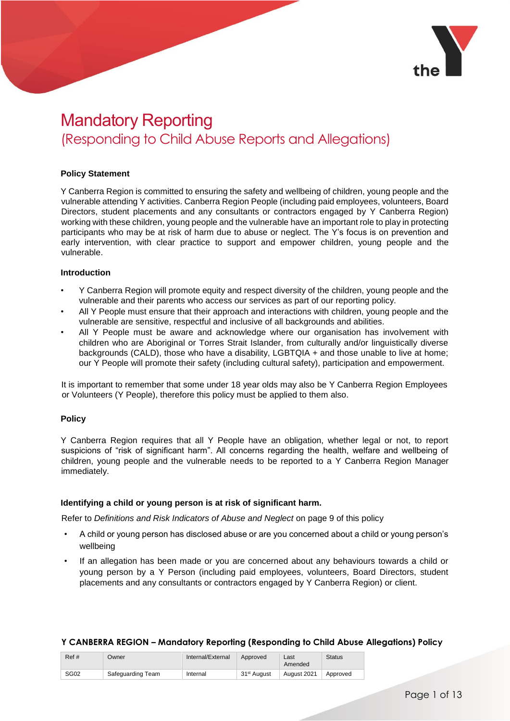

## Mandatory Reporting (Responding to Child Abuse Reports and Allegations)

#### **Policy Statement**

Y Canberra Region is committed to ensuring the safety and wellbeing of children, young people and the vulnerable attending Y activities. Canberra Region People (including paid employees, volunteers, Board Directors, student placements and any consultants or contractors engaged by Y Canberra Region) working with these children, young people and the vulnerable have an important role to play in protecting participants who may be at risk of harm due to abuse or neglect. The Y's focus is on prevention and early intervention, with clear practice to support and empower children, young people and the vulnerable.

#### **Introduction**

- Y Canberra Region will promote equity and respect diversity of the children, young people and the vulnerable and their parents who access our services as part of our reporting policy.
- All Y People must ensure that their approach and interactions with children, young people and the vulnerable are sensitive, respectful and inclusive of all backgrounds and abilities.
- All Y People must be aware and acknowledge where our organisation has involvement with children who are Aboriginal or Torres Strait Islander, from culturally and/or linguistically diverse backgrounds (CALD), those who have a disability, LGBTQIA + and those unable to live at home; our Y People will promote their safety (including cultural safety), participation and empowerment.

It is important to remember that some under 18 year olds may also be Y Canberra Region Employees or Volunteers (Y People), therefore this policy must be applied to them also.

#### **Policy**

Y Canberra Region requires that all Y People have an obligation, whether legal or not, to report suspicions of "risk of significant harm". All concerns regarding the health, welfare and wellbeing of children, young people and the vulnerable needs to be reported to a Y Canberra Region Manager immediately.

#### **Identifying a child or young person is at risk of significant harm.**

Refer to *Definitions and Risk Indicators of Abuse and Neglect* on page 9 of this policy

- A child or young person has disclosed abuse or are you concerned about a child or young person's wellbeing
- If an allegation has been made or you are concerned about any behaviours towards a child or young person by a Y Person (including paid employees, volunteers, Board Directors, student placements and any consultants or contractors engaged by Y Canberra Region) or client.

| Ref#        | Owner             | Internal/External | Approved                | Last<br>Amended | <b>Status</b> |
|-------------|-------------------|-------------------|-------------------------|-----------------|---------------|
| <b>SG02</b> | Safequarding Team | Internal          | 31 <sup>st</sup> August | August 2021     | Approved      |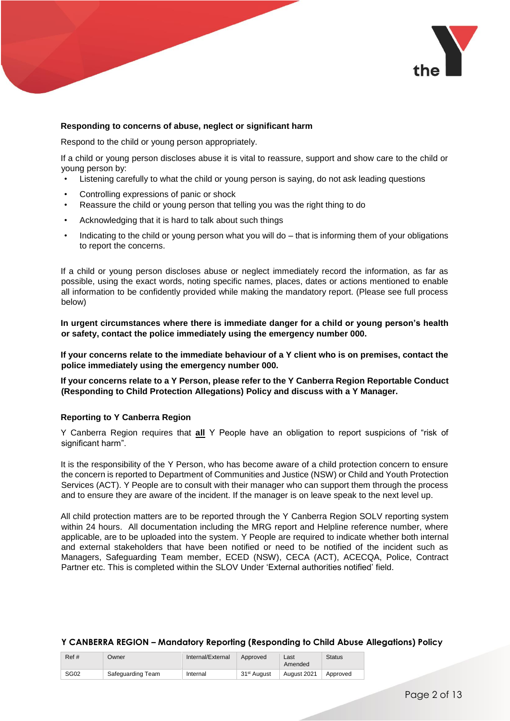

#### **Responding to concerns of abuse, neglect or significant harm**

Respond to the child or young person appropriately.

If a child or young person discloses abuse it is vital to reassure, support and show care to the child or young person by:

- Listening carefully to what the child or young person is saying, do not ask leading questions
- Controlling expressions of panic or shock
- Reassure the child or young person that telling you was the right thing to do
- Acknowledging that it is hard to talk about such things
- Indicating to the child or young person what you will do that is informing them of your obligations to report the concerns.

If a child or young person discloses abuse or neglect immediately record the information, as far as possible, using the exact words, noting specific names, places, dates or actions mentioned to enable all information to be confidently provided while making the mandatory report. (Please see full process below)

**In urgent circumstances where there is immediate danger for a child or young person's health or safety, contact the police immediately using the emergency number 000.** 

**If your concerns relate to the immediate behaviour of a Y client who is on premises, contact the police immediately using the emergency number 000.** 

**If your concerns relate to a Y Person, please refer to the Y Canberra Region Reportable Conduct (Responding to Child Protection Allegations) Policy and discuss with a Y Manager.**

#### **Reporting to Y Canberra Region**

Y Canberra Region requires that **all** Y People have an obligation to report suspicions of "risk of significant harm".

It is the responsibility of the Y Person, who has become aware of a child protection concern to ensure the concern is reported to Department of Communities and Justice (NSW) or Child and Youth Protection Services (ACT). Y People are to consult with their manager who can support them through the process and to ensure they are aware of the incident. If the manager is on leave speak to the next level up.

All child protection matters are to be reported through the Y Canberra Region SOLV reporting system within 24 hours. All documentation including the MRG report and Helpline reference number, where applicable, are to be uploaded into the system. Y People are required to indicate whether both internal and external stakeholders that have been notified or need to be notified of the incident such as Managers, Safeguarding Team member, ECED (NSW), CECA (ACT), ACECQA, Police, Contract Partner etc. This is completed within the SLOV Under 'External authorities notified' field.

| Ref# | Owner             | Internal/External | Approved                | Last<br>Amended | <b>Status</b> |
|------|-------------------|-------------------|-------------------------|-----------------|---------------|
| SG02 | Safequarding Team | Internal          | 31 <sup>st</sup> August | August 2021     | Approved      |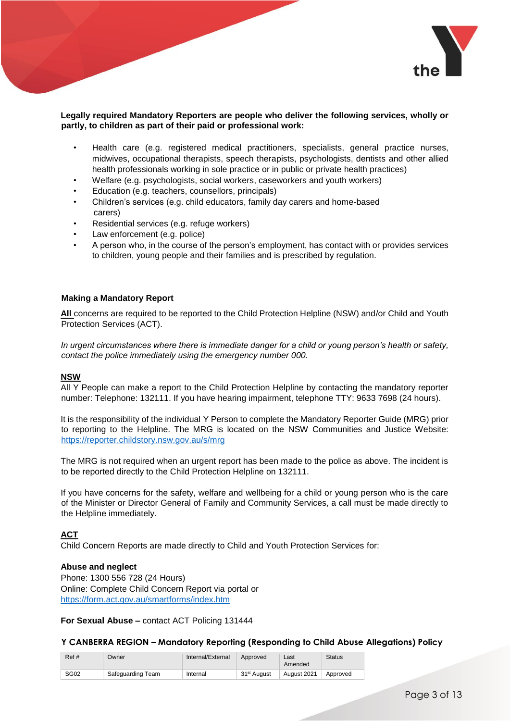

#### **Legally required Mandatory Reporters are people who deliver the following services, wholly or partly, to children as part of their paid or professional work:**

- Health care (e.g. registered medical practitioners, specialists, general practice nurses, midwives, occupational therapists, speech therapists, psychologists, dentists and other allied health professionals working in sole practice or in public or private health practices)
- Welfare (e.g. psychologists, social workers, caseworkers and youth workers)
- Education (e.g. teachers, counsellors, principals)
- Children's services (e.g. child educators, family day carers and home-based carers)
- Residential services (e.g. refuge workers)
- Law enforcement (e.g. police)
- A person who, in the course of the person's employment, has contact with or provides services to children, young people and their families and is prescribed by regulation.

#### **Making a Mandatory Report**

**All** concerns are required to be reported to the Child Protection Helpline (NSW) and/or Child and Youth Protection Services (ACT).

*In urgent circumstances where there is immediate danger for a child or young person's health or safety, contact the police immediately using the emergency number 000.* 

#### **NSW**

All Y People can make a report to the Child Protection Helpline by contacting the mandatory reporter number: Telephone: 132111. If you have hearing impairment, telephone TTY: 9633 7698 (24 hours).

It is the responsibility of the individual Y Person to complete the Mandatory Reporter Guide (MRG) prior to reporting to the Helpline. The MRG is located on the NSW Communities and Justice Website: <https://reporter.childstory.nsw.gov.au/s/mrg>

The MRG is not required when an urgent report has been made to the police as above. The incident is to be reported directly to the Child Protection Helpline on 132111.

If you have concerns for the safety, welfare and wellbeing for a child or young person who is the care of the Minister or Director General of Family and Community Services, a call must be made directly to the Helpline immediately.

#### **ACT**

Child Concern Reports are made directly to Child and Youth Protection Services for:

#### **Abuse and neglect**

Phone: 1300 556 728 (24 Hours) Online: Complete Child Concern Report via portal or <https://form.act.gov.au/smartforms/index.htm>

#### **For Sexual Abuse –** contact ACT Policing 131444

| Ref# | Owner             | Internal/External | Approved                | Last<br>Amended | <b>Status</b> |
|------|-------------------|-------------------|-------------------------|-----------------|---------------|
| SG02 | Safequarding Team | Internal          | 31 <sup>st</sup> August | August 2021     | Approved      |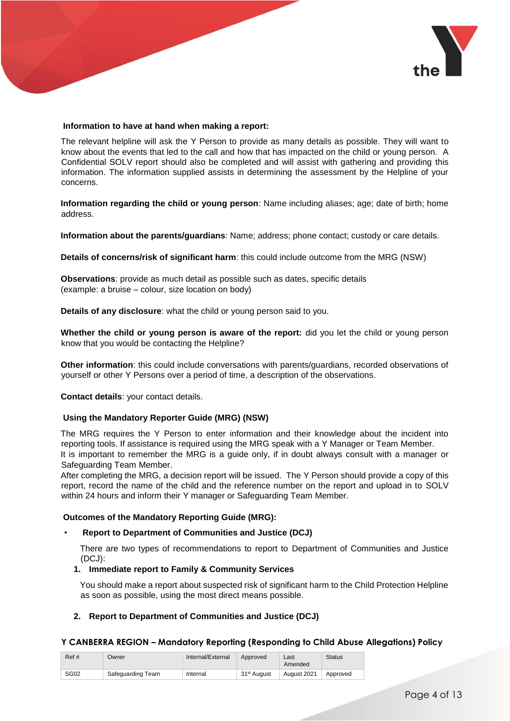

#### **Information to have at hand when making a report:**

The relevant helpline will ask the Y Person to provide as many details as possible. They will want to know about the events that led to the call and how that has impacted on the child or young person. A Confidential SOLV report should also be completed and will assist with gathering and providing this information. The information supplied assists in determining the assessment by the Helpline of your concerns.

**Information regarding the child or young person**: Name including aliases; age; date of birth; home address.

**Information about the parents/guardians**: Name; address; phone contact; custody or care details.

**Details of concerns/risk of significant harm**: this could include outcome from the MRG (NSW)

**Observations**: provide as much detail as possible such as dates, specific details (example: a bruise – colour, size location on body)

**Details of any disclosure**: what the child or young person said to you.

**Whether the child or young person is aware of the report:** did you let the child or young person know that you would be contacting the Helpline?

**Other information**: this could include conversations with parents/guardians, recorded observations of yourself or other Y Persons over a period of time, a description of the observations.

**Contact details**: your contact details.

#### **Using the Mandatory Reporter Guide (MRG) (NSW)**

The MRG requires the Y Person to enter information and their knowledge about the incident into reporting tools. If assistance is required using the MRG speak with a Y Manager or Team Member. It is important to remember the MRG is a guide only, if in doubt always consult with a manager or Safeguarding Team Member.

After completing the MRG, a decision report will be issued. The Y Person should provide a copy of this report, record the name of the child and the reference number on the report and upload in to SOLV within 24 hours and inform their Y manager or Safeguarding Team Member.

#### **Outcomes of the Mandatory Reporting Guide (MRG):**

#### • **Report to Department of Communities and Justice (DCJ)**

There are two types of recommendations to report to Department of Communities and Justice (DCJ):

#### **1. Immediate report to Family & Community Services**

You should make a report about suspected risk of significant harm to the Child Protection Helpline as soon as possible, using the most direct means possible.

#### **2. Report to Department of Communities and Justice (DCJ)**

| Ref#             | Owner             | Internal/External | Approved                | Last<br>Amended | <b>Status</b> |
|------------------|-------------------|-------------------|-------------------------|-----------------|---------------|
| SG <sub>02</sub> | Safequarding Team | Internal          | 31 <sup>st</sup> August | August 2021     | Approved      |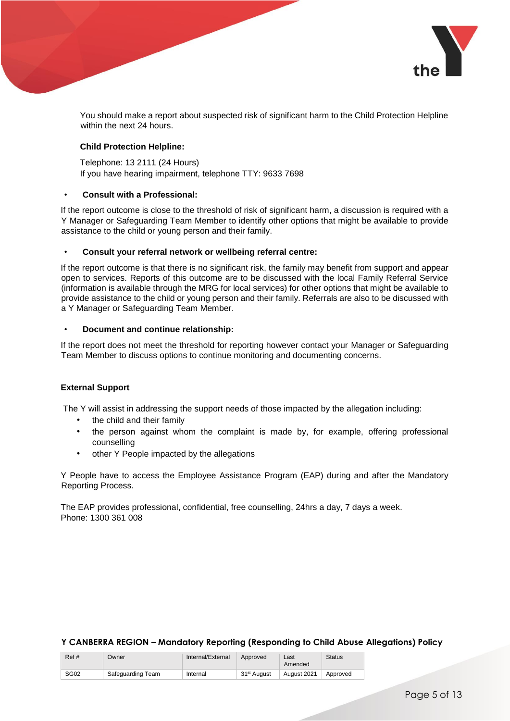

You should make a report about suspected risk of significant harm to the Child Protection Helpline within the next 24 hours.

#### **Child Protection Helpline:**

Telephone: 13 2111 (24 Hours) If you have hearing impairment, telephone TTY: 9633 7698

#### • **Consult with a Professional:**

If the report outcome is close to the threshold of risk of significant harm, a discussion is required with a Y Manager or Safeguarding Team Member to identify other options that might be available to provide assistance to the child or young person and their family.

#### • **Consult your referral network or wellbeing referral centre:**

If the report outcome is that there is no significant risk, the family may benefit from support and appear open to services. Reports of this outcome are to be discussed with the local Family Referral Service (information is available through the MRG for local services) for other options that might be available to provide assistance to the child or young person and their family. Referrals are also to be discussed with a Y Manager or Safeguarding Team Member.

#### • **Document and continue relationship:**

If the report does not meet the threshold for reporting however contact your Manager or Safeguarding Team Member to discuss options to continue monitoring and documenting concerns.

#### **External Support**

The Y will assist in addressing the support needs of those impacted by the allegation including:

- the child and their family
- the person against whom the complaint is made by, for example, offering professional counselling
- other Y People impacted by the allegations

Y People have to access the Employee Assistance Program (EAP) during and after the Mandatory Reporting Process.

The EAP provides professional, confidential, free counselling, 24hrs a day, 7 days a week. Phone: 1300 361 008

| Ref#             | Owner             | Internal/External | Approved                | Last<br>Amended | <b>Status</b> |
|------------------|-------------------|-------------------|-------------------------|-----------------|---------------|
| SG <sub>02</sub> | Safequarding Team | Internal          | 31 <sup>st</sup> August | August 2021     | Approved      |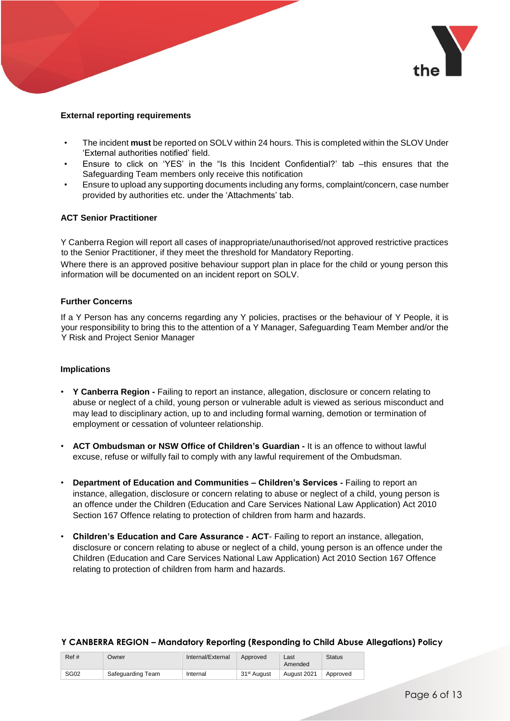

#### **External reporting requirements**

- The incident **must** be reported on SOLV within 24 hours. This is completed within the SLOV Under 'External authorities notified' field.
- Ensure to click on 'YES' in the "Is this Incident Confidential?' tab –this ensures that the Safeguarding Team members only receive this notification
- Ensure to upload any supporting documents including any forms, complaint/concern, case number provided by authorities etc. under the 'Attachments' tab.

#### **ACT Senior Practitioner**

Y Canberra Region will report all cases of inappropriate/unauthorised/not approved restrictive practices to the Senior Practitioner, if they meet the threshold for Mandatory Reporting.

Where there is an approved positive behaviour support plan in place for the child or young person this information will be documented on an incident report on SOLV.

#### **Further Concerns**

If a Y Person has any concerns regarding any Y policies, practises or the behaviour of Y People, it is your responsibility to bring this to the attention of a Y Manager, Safeguarding Team Member and/or the Y Risk and Project Senior Manager

#### **Implications**

- **Y Canberra Region -** Failing to report an instance, allegation, disclosure or concern relating to abuse or neglect of a child, young person or vulnerable adult is viewed as serious misconduct and may lead to disciplinary action, up to and including formal warning, demotion or termination of employment or cessation of volunteer relationship.
- **ACT Ombudsman or NSW Office of Children's Guardian -** It is an offence to without lawful excuse, refuse or wilfully fail to comply with any lawful requirement of the Ombudsman.
- **Department of Education and Communities – Children's Services -** Failing to report an instance, allegation, disclosure or concern relating to abuse or neglect of a child, young person is an offence under the Children (Education and Care Services National Law Application) Act 2010 Section 167 Offence relating to protection of children from harm and hazards.
- **Children's Education and Care Assurance - ACT** Failing to report an instance, allegation, disclosure or concern relating to abuse or neglect of a child, young person is an offence under the Children (Education and Care Services National Law Application) Act 2010 Section 167 Offence relating to protection of children from harm and hazards.

#### Ref # Owner Internal/External Approved Last Amended **Status** SG02 Safeguarding Team Internal 31st August August 2021 Approved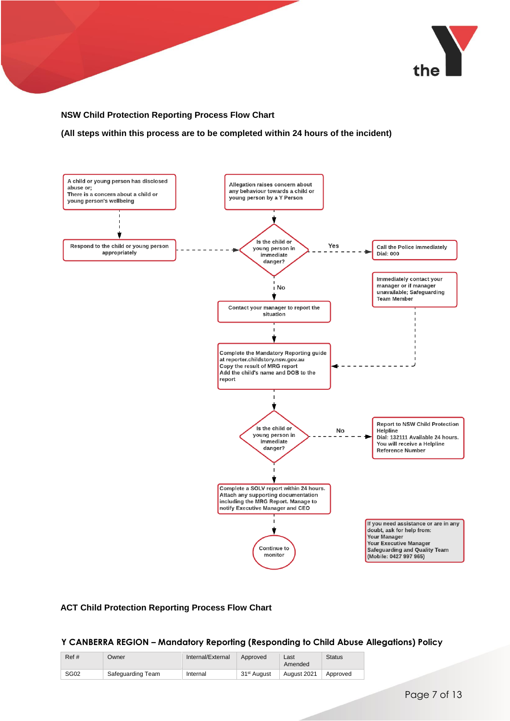

#### **NSW Child Protection Reporting Process Flow Chart**

**(All steps within this process are to be completed within 24 hours of the incident)**



#### **ACT Child Protection Reporting Process Flow Chart**

| Ref#             | Owner             | Internal/External | Approved                | Last<br>Amended | <b>Status</b> |
|------------------|-------------------|-------------------|-------------------------|-----------------|---------------|
| SG <sub>02</sub> | Safequarding Team | Internal          | 31 <sup>st</sup> August | August 2021     | Approved      |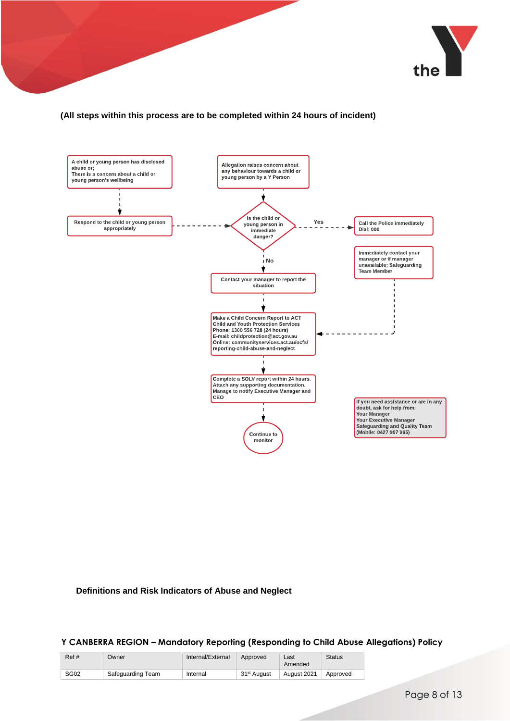

#### **(All steps within this process are to be completed within 24 hours of incident)**



#### **Definitions and Risk Indicators of Abuse and Neglect**

| Ref# | Owner             | Internal/External | Approved                | Last<br>Amended | <b>Status</b> |
|------|-------------------|-------------------|-------------------------|-----------------|---------------|
| SG02 | Safequarding Team | Internal          | 31 <sup>st</sup> August | August 2021     | Approved      |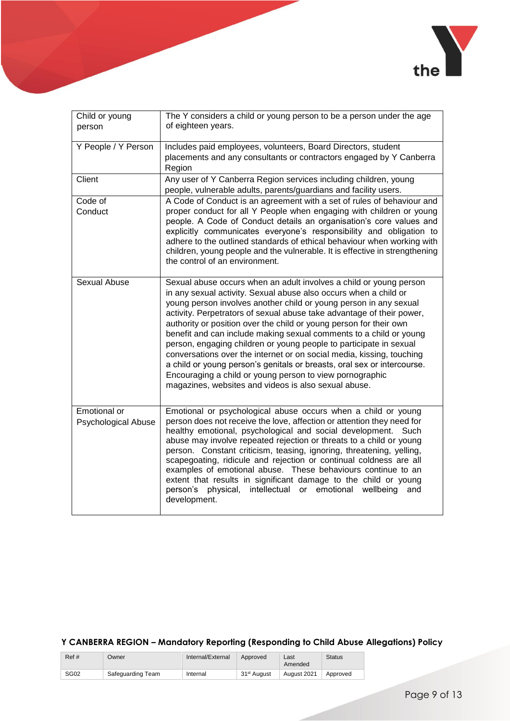

| Child or young<br>person                   | The Y considers a child or young person to be a person under the age<br>of eighteen years.                                                                                                                                                                                                                                                                                                                                                                                                                                                                                                                                                                                                                                                                                     |
|--------------------------------------------|--------------------------------------------------------------------------------------------------------------------------------------------------------------------------------------------------------------------------------------------------------------------------------------------------------------------------------------------------------------------------------------------------------------------------------------------------------------------------------------------------------------------------------------------------------------------------------------------------------------------------------------------------------------------------------------------------------------------------------------------------------------------------------|
| Y People / Y Person                        | Includes paid employees, volunteers, Board Directors, student<br>placements and any consultants or contractors engaged by Y Canberra<br>Region                                                                                                                                                                                                                                                                                                                                                                                                                                                                                                                                                                                                                                 |
| Client                                     | Any user of Y Canberra Region services including children, young<br>people, vulnerable adults, parents/guardians and facility users.                                                                                                                                                                                                                                                                                                                                                                                                                                                                                                                                                                                                                                           |
| Code of<br>Conduct                         | A Code of Conduct is an agreement with a set of rules of behaviour and<br>proper conduct for all Y People when engaging with children or young<br>people. A Code of Conduct details an organisation's core values and<br>explicitly communicates everyone's responsibility and obligation to<br>adhere to the outlined standards of ethical behaviour when working with<br>children, young people and the vulnerable. It is effective in strengthening<br>the control of an environment.                                                                                                                                                                                                                                                                                       |
| Sexual Abuse                               | Sexual abuse occurs when an adult involves a child or young person<br>in any sexual activity. Sexual abuse also occurs when a child or<br>young person involves another child or young person in any sexual<br>activity. Perpetrators of sexual abuse take advantage of their power,<br>authority or position over the child or young person for their own<br>benefit and can include making sexual comments to a child or young<br>person, engaging children or young people to participate in sexual<br>conversations over the internet or on social media, kissing, touching<br>a child or young person's genitals or breasts, oral sex or intercourse.<br>Encouraging a child or young person to view pornographic<br>magazines, websites and videos is also sexual abuse. |
| Emotional or<br><b>Psychological Abuse</b> | Emotional or psychological abuse occurs when a child or young<br>person does not receive the love, affection or attention they need for<br>healthy emotional, psychological and social development.<br>Such<br>abuse may involve repeated rejection or threats to a child or young<br>person. Constant criticism, teasing, ignoring, threatening, yelling,<br>scapegoating, ridicule and rejection or continual coldness are all<br>examples of emotional abuse. These behaviours continue to an<br>extent that results in significant damage to the child or young<br>physical,<br>person's<br>intellectual<br>emotional<br>wellbeing<br>or<br>and<br>development.                                                                                                            |

| Ref# | Owner             | Internal/External | Approved                | Last<br>Amended | <b>Status</b> |
|------|-------------------|-------------------|-------------------------|-----------------|---------------|
| SG02 | Safequarding Team | Internal          | 31 <sup>st</sup> August | August 2021     | Approved      |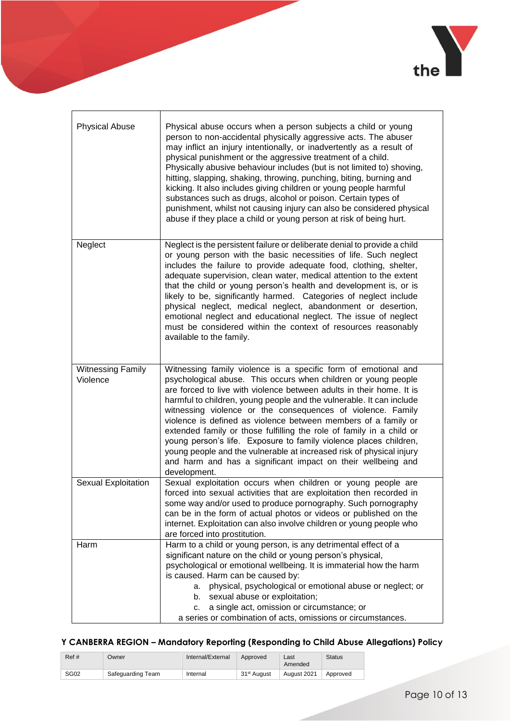

| <b>Physical Abuse</b>                | Physical abuse occurs when a person subjects a child or young<br>person to non-accidental physically aggressive acts. The abuser<br>may inflict an injury intentionally, or inadvertently as a result of<br>physical punishment or the aggressive treatment of a child.<br>Physically abusive behaviour includes (but is not limited to) shoving,<br>hitting, slapping, shaking, throwing, punching, biting, burning and<br>kicking. It also includes giving children or young people harmful<br>substances such as drugs, alcohol or poison. Certain types of<br>punishment, whilst not causing injury can also be considered physical<br>abuse if they place a child or young person at risk of being hurt.          |
|--------------------------------------|------------------------------------------------------------------------------------------------------------------------------------------------------------------------------------------------------------------------------------------------------------------------------------------------------------------------------------------------------------------------------------------------------------------------------------------------------------------------------------------------------------------------------------------------------------------------------------------------------------------------------------------------------------------------------------------------------------------------|
| Neglect                              | Neglect is the persistent failure or deliberate denial to provide a child<br>or young person with the basic necessities of life. Such neglect<br>includes the failure to provide adequate food, clothing, shelter,<br>adequate supervision, clean water, medical attention to the extent<br>that the child or young person's health and development is, or is<br>likely to be, significantly harmed. Categories of neglect include<br>physical neglect, medical neglect, abandonment or desertion,<br>emotional neglect and educational neglect. The issue of neglect<br>must be considered within the context of resources reasonably<br>available to the family.                                                     |
| <b>Witnessing Family</b><br>Violence | Witnessing family violence is a specific form of emotional and<br>psychological abuse. This occurs when children or young people<br>are forced to live with violence between adults in their home. It is<br>harmful to children, young people and the vulnerable. It can include<br>witnessing violence or the consequences of violence. Family<br>violence is defined as violence between members of a family or<br>extended family or those fulfilling the role of family in a child or<br>young person's life. Exposure to family violence places children,<br>young people and the vulnerable at increased risk of physical injury<br>and harm and has a significant impact on their wellbeing and<br>development. |
| Sexual Exploitation                  | Sexual exploitation occurs when children or young people are<br>forced into sexual activities that are exploitation then recorded in<br>some way and/or used to produce pornography. Such pornography<br>can be in the form of actual photos or videos or published on the<br>internet. Exploitation can also involve children or young people who<br>are forced into prostitution.                                                                                                                                                                                                                                                                                                                                    |
| Harm                                 | Harm to a child or young person, is any detrimental effect of a<br>significant nature on the child or young person's physical,<br>psychological or emotional wellbeing. It is immaterial how the harm<br>is caused. Harm can be caused by:<br>a. physical, psychological or emotional abuse or neglect; or<br>b. sexual abuse or exploitation;<br>a single act, omission or circumstance; or<br>C.<br>a series or combination of acts, omissions or circumstances.                                                                                                                                                                                                                                                     |

| Ref#        | Owner             | Internal/External | Approved                | ∟ast<br>Amended | <b>Status</b> |
|-------------|-------------------|-------------------|-------------------------|-----------------|---------------|
| <b>SG02</b> | Safequarding Team | Internal          | 31 <sup>st</sup> August | August 2021     | Approved      |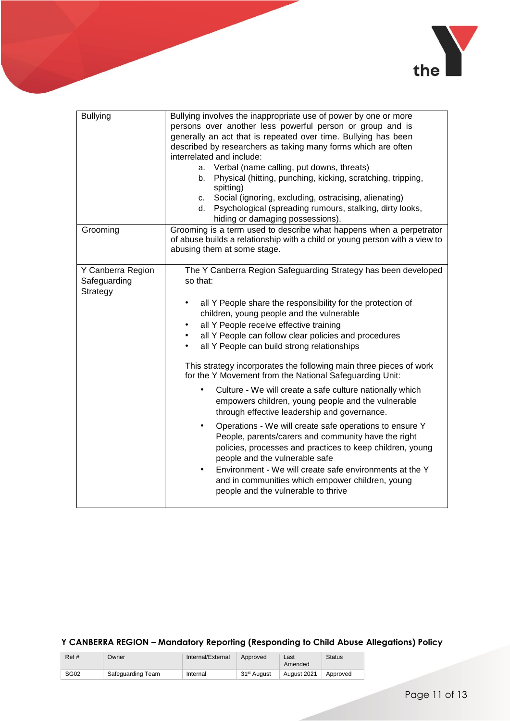

| <b>Bullying</b>                               | Bullying involves the inappropriate use of power by one or more<br>persons over another less powerful person or group and is<br>generally an act that is repeated over time. Bullying has been<br>described by researchers as taking many forms which are often<br>interrelated and include:<br>Verbal (name calling, put downs, threats)<br>a.<br>Physical (hitting, punching, kicking, scratching, tripping,<br>b.<br>spitting)<br>Social (ignoring, excluding, ostracising, alienating)<br>C.<br>Psychological (spreading rumours, stalking, dirty looks,<br>d.<br>hiding or damaging possessions).                                                                                                                                                                                                                                                                                                                                                                                                                                                                                                 |
|-----------------------------------------------|--------------------------------------------------------------------------------------------------------------------------------------------------------------------------------------------------------------------------------------------------------------------------------------------------------------------------------------------------------------------------------------------------------------------------------------------------------------------------------------------------------------------------------------------------------------------------------------------------------------------------------------------------------------------------------------------------------------------------------------------------------------------------------------------------------------------------------------------------------------------------------------------------------------------------------------------------------------------------------------------------------------------------------------------------------------------------------------------------------|
| Grooming                                      | Grooming is a term used to describe what happens when a perpetrator<br>of abuse builds a relationship with a child or young person with a view to<br>abusing them at some stage.                                                                                                                                                                                                                                                                                                                                                                                                                                                                                                                                                                                                                                                                                                                                                                                                                                                                                                                       |
| Y Canberra Region<br>Safeguarding<br>Strategy | The Y Canberra Region Safeguarding Strategy has been developed<br>so that:<br>all Y People share the responsibility for the protection of<br>٠<br>children, young people and the vulnerable<br>all Y People receive effective training<br>$\bullet$<br>all Y People can follow clear policies and procedures<br>$\bullet$<br>all Y People can build strong relationships<br>$\bullet$<br>This strategy incorporates the following main three pieces of work<br>for the Y Movement from the National Safeguarding Unit:<br>Culture - We will create a safe culture nationally which<br>$\bullet$<br>empowers children, young people and the vulnerable<br>through effective leadership and governance.<br>Operations - We will create safe operations to ensure Y<br>$\bullet$<br>People, parents/carers and community have the right<br>policies, processes and practices to keep children, young<br>people and the vulnerable safe<br>Environment - We will create safe environments at the Y<br>$\bullet$<br>and in communities which empower children, young<br>people and the vulnerable to thrive |

| Ref#             | Owner             | Internal/External | Approved                | Last<br>Amended | <b>Status</b> |
|------------------|-------------------|-------------------|-------------------------|-----------------|---------------|
| SG <sub>02</sub> | Safequarding Team | Internal          | 31 <sup>st</sup> August | August 2021     | Approved      |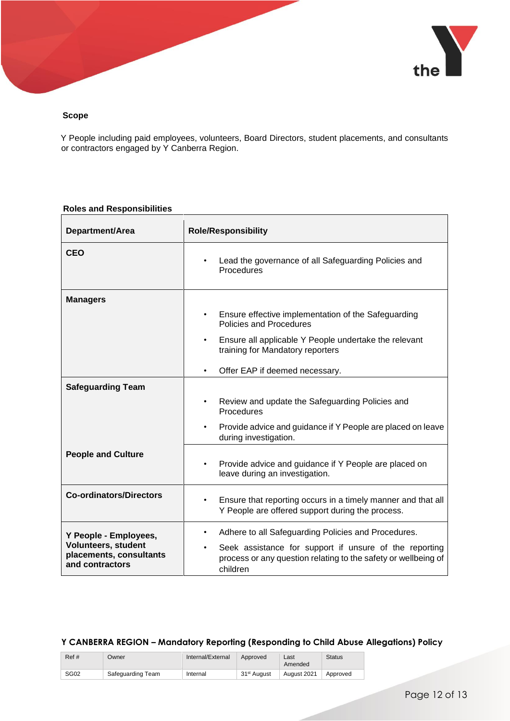

#### **Scope**

Y People including paid employees, volunteers, Board Directors, student placements, and consultants or contractors engaged by Y Canberra Region.

#### **Roles and Responsibilities**

| Department/Area                                                                            | <b>Role/Responsibility</b>                                                                                                                                                                                                              |  |  |  |  |
|--------------------------------------------------------------------------------------------|-----------------------------------------------------------------------------------------------------------------------------------------------------------------------------------------------------------------------------------------|--|--|--|--|
| <b>CEO</b>                                                                                 | Lead the governance of all Safeguarding Policies and<br>$\bullet$<br>Procedures                                                                                                                                                         |  |  |  |  |
| <b>Managers</b>                                                                            | Ensure effective implementation of the Safeguarding<br>$\bullet$<br>Policies and Procedures<br>Ensure all applicable Y People undertake the relevant<br>$\bullet$<br>training for Mandatory reporters<br>Offer EAP if deemed necessary. |  |  |  |  |
| <b>Safeguarding Team</b>                                                                   | Review and update the Safeguarding Policies and<br>$\bullet$<br>Procedures<br>Provide advice and guidance if Y People are placed on leave<br>$\bullet$<br>during investigation.                                                         |  |  |  |  |
| <b>People and Culture</b>                                                                  | Provide advice and guidance if Y People are placed on<br>٠<br>leave during an investigation.                                                                                                                                            |  |  |  |  |
| <b>Co-ordinators/Directors</b>                                                             | Ensure that reporting occurs in a timely manner and that all<br>$\bullet$<br>Y People are offered support during the process.                                                                                                           |  |  |  |  |
| Y People - Employees,<br>Volunteers, student<br>placements, consultants<br>and contractors | Adhere to all Safeguarding Policies and Procedures.<br>$\bullet$<br>Seek assistance for support if unsure of the reporting<br>$\bullet$<br>process or any question relating to the safety or wellbeing of<br>children                   |  |  |  |  |

| Ref# | Owner             | Internal/External | Approved                | Last<br>Amended | <b>Status</b> |
|------|-------------------|-------------------|-------------------------|-----------------|---------------|
| SG02 | Safequarding Team | Internal          | 31 <sup>st</sup> August | August 2021     | Approved      |